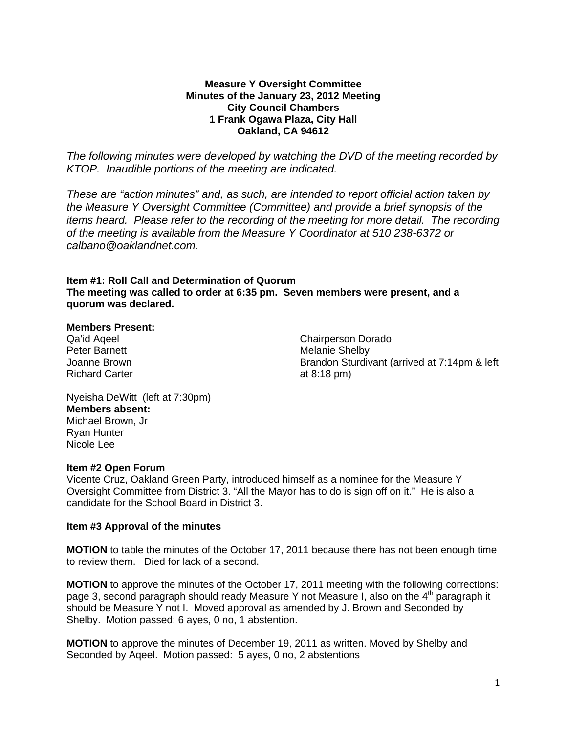#### **Measure Y Oversight Committee Minutes of the January 23, 2012 Meeting City Council Chambers 1 Frank Ogawa Plaza, City Hall Oakland, CA 94612**

*The following minutes were developed by watching the DVD of the meeting recorded by KTOP. Inaudible portions of the meeting are indicated.* 

*These are "action minutes" and, as such, are intended to report official action taken by the Measure Y Oversight Committee (Committee) and provide a brief synopsis of the items heard. Please refer to the recording of the meeting for more detail. The recording of the meeting is available from the Measure Y Coordinator at 510 238-6372 or calbano@oaklandnet.com.* 

## **Item #1: Roll Call and Determination of Quorum The meeting was called to order at 6:35 pm. Seven members were present, and a quorum was declared.**

#### **Members Present:**

Qa'id Aqeel Peter Barnett Joanne Brown Richard Carter

Chairperson Dorado Melanie Shelby Brandon Sturdivant (arrived at 7:14pm & left at 8:18 pm)

Nyeisha DeWitt (left at 7:30pm) **Members absent:**  Michael Brown, Jr Ryan Hunter Nicole Lee

#### **Item #2 Open Forum**

Vicente Cruz, Oakland Green Party, introduced himself as a nominee for the Measure Y Oversight Committee from District 3. "All the Mayor has to do is sign off on it." He is also a candidate for the School Board in District 3.

## **Item #3 Approval of the minutes**

**MOTION** to table the minutes of the October 17, 2011 because there has not been enough time to review them. Died for lack of a second.

**MOTION** to approve the minutes of the October 17, 2011 meeting with the following corrections: page 3, second paragraph should ready Measure Y not Measure I, also on the 4<sup>th</sup> paragraph it should be Measure Y not I. Moved approval as amended by J. Brown and Seconded by Shelby. Motion passed: 6 ayes, 0 no, 1 abstention.

**MOTION** to approve the minutes of December 19, 2011 as written. Moved by Shelby and Seconded by Aqeel. Motion passed: 5 ayes, 0 no, 2 abstentions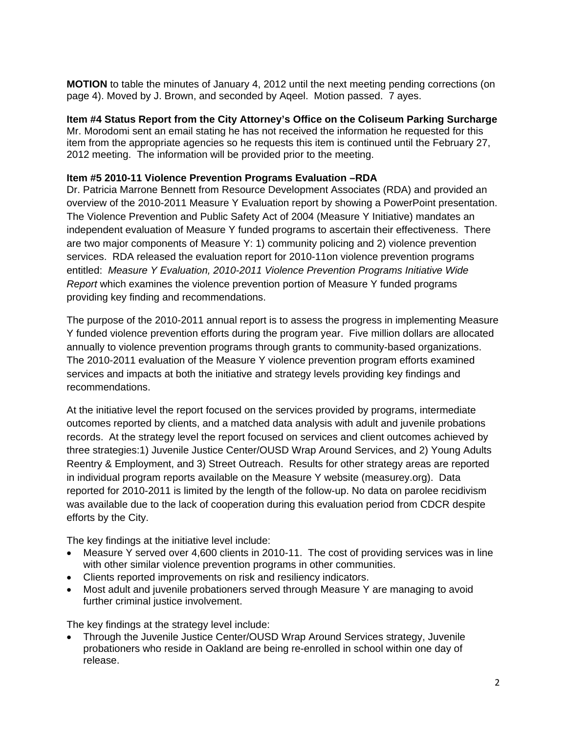**MOTION** to table the minutes of January 4, 2012 until the next meeting pending corrections (on page 4). Moved by J. Brown, and seconded by Aqeel. Motion passed. 7 ayes.

## **Item #4 Status Report from the City Attorney's Office on the Coliseum Parking Surcharge**

Mr. Morodomi sent an email stating he has not received the information he requested for this item from the appropriate agencies so he requests this item is continued until the February 27, 2012 meeting. The information will be provided prior to the meeting.

## **Item #5 2010-11 Violence Prevention Programs Evaluation –RDA**

Dr. Patricia Marrone Bennett from Resource Development Associates (RDA) and provided an overview of the 2010-2011 Measure Y Evaluation report by showing a PowerPoint presentation. The Violence Prevention and Public Safety Act of 2004 (Measure Y Initiative) mandates an independent evaluation of Measure Y funded programs to ascertain their effectiveness. There are two major components of Measure Y: 1) community policing and 2) violence prevention services. RDA released the evaluation report for 2010-11on violence prevention programs entitled: *Measure Y Evaluation, 2010-2011 Violence Prevention Programs Initiative Wide Report* which examines the violence prevention portion of Measure Y funded programs providing key finding and recommendations.

The purpose of the 2010-2011 annual report is to assess the progress in implementing Measure Y funded violence prevention efforts during the program year. Five million dollars are allocated annually to violence prevention programs through grants to community-based organizations. The 2010-2011 evaluation of the Measure Y violence prevention program efforts examined services and impacts at both the initiative and strategy levels providing key findings and recommendations.

At the initiative level the report focused on the services provided by programs, intermediate outcomes reported by clients, and a matched data analysis with adult and juvenile probations records. At the strategy level the report focused on services and client outcomes achieved by three strategies:1) Juvenile Justice Center/OUSD Wrap Around Services, and 2) Young Adults Reentry & Employment, and 3) Street Outreach. Results for other strategy areas are reported in individual program reports available on the Measure Y website (measurey.org). Data reported for 2010-2011 is limited by the length of the follow-up. No data on parolee recidivism was available due to the lack of cooperation during this evaluation period from CDCR despite efforts by the City.

The key findings at the initiative level include:

- Measure Y served over 4,600 clients in 2010-11. The cost of providing services was in line with other similar violence prevention programs in other communities.
- Clients reported improvements on risk and resiliency indicators.
- Most adult and juvenile probationers served through Measure Y are managing to avoid further criminal justice involvement.

The key findings at the strategy level include:

• Through the Juvenile Justice Center/OUSD Wrap Around Services strategy, Juvenile probationers who reside in Oakland are being re-enrolled in school within one day of release.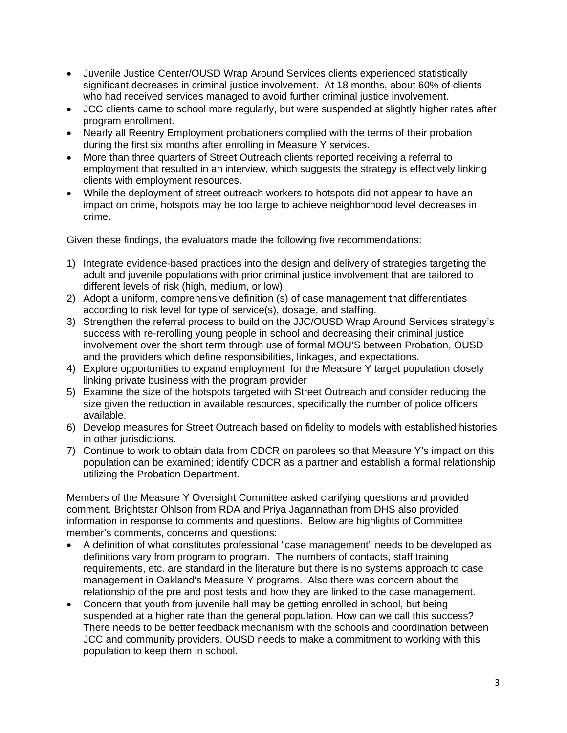- Juvenile Justice Center/OUSD Wrap Around Services clients experienced statistically significant decreases in criminal justice involvement. At 18 months, about 60% of clients who had received services managed to avoid further criminal justice involvement.
- JCC clients came to school more regularly, but were suspended at slightly higher rates after program enrollment.
- Nearly all Reentry Employment probationers complied with the terms of their probation during the first six months after enrolling in Measure Y services.
- More than three quarters of Street Outreach clients reported receiving a referral to employment that resulted in an interview, which suggests the strategy is effectively linking clients with employment resources.
- While the deployment of street outreach workers to hotspots did not appear to have an impact on crime, hotspots may be too large to achieve neighborhood level decreases in crime.

Given these findings, the evaluators made the following five recommendations:

- 1) Integrate evidence-based practices into the design and delivery of strategies targeting the adult and juvenile populations with prior criminal justice involvement that are tailored to different levels of risk (high, medium, or low).
- 2) Adopt a uniform, comprehensive definition (s) of case management that differentiates according to risk level for type of service(s), dosage, and staffing.
- 3) Strengthen the referral process to build on the JJC/OUSD Wrap Around Services strategy's success with re-rerolling young people in school and decreasing their criminal justice involvement over the short term through use of formal MOU'S between Probation, OUSD and the providers which define responsibilities, linkages, and expectations.
- 4) Explore opportunities to expand employment for the Measure Y target population closely linking private business with the program provider
- 5) Examine the size of the hotspots targeted with Street Outreach and consider reducing the size given the reduction in available resources, specifically the number of police officers available.
- 6) Develop measures for Street Outreach based on fidelity to models with established histories in other jurisdictions.
- 7) Continue to work to obtain data from CDCR on parolees so that Measure Y's impact on this population can be examined; identify CDCR as a partner and establish a formal relationship utilizing the Probation Department.

Members of the Measure Y Oversight Committee asked clarifying questions and provided comment. Brightstar Ohlson from RDA and Priya Jagannathan from DHS also provided information in response to comments and questions. Below are highlights of Committee member's comments, concerns and questions:

- A definition of what constitutes professional "case management" needs to be developed as definitions vary from program to program. The numbers of contacts, staff training requirements, etc. are standard in the literature but there is no systems approach to case management in Oakland's Measure Y programs. Also there was concern about the relationship of the pre and post tests and how they are linked to the case management.
- Concern that youth from juvenile hall may be getting enrolled in school, but being suspended at a higher rate than the general population. How can we call this success? There needs to be better feedback mechanism with the schools and coordination between JCC and community providers. OUSD needs to make a commitment to working with this population to keep them in school.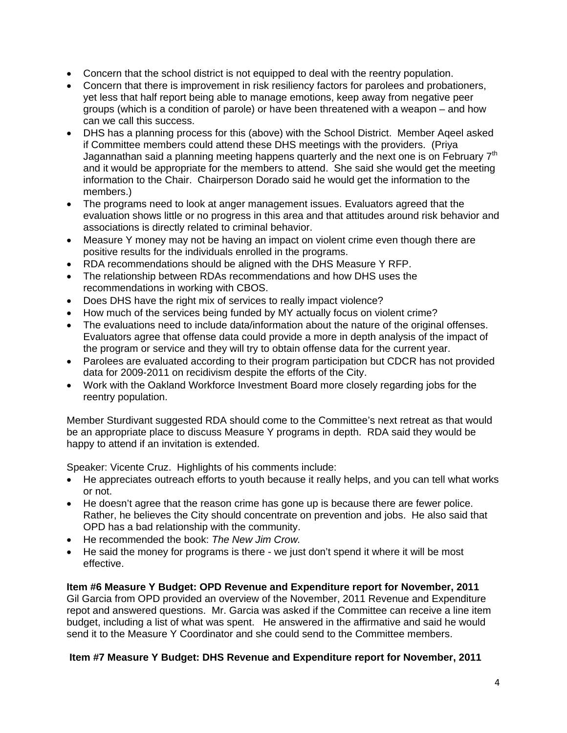- Concern that the school district is not equipped to deal with the reentry population.
- Concern that there is improvement in risk resiliency factors for parolees and probationers, yet less that half report being able to manage emotions, keep away from negative peer groups (which is a condition of parole) or have been threatened with a weapon – and how can we call this success.
- DHS has a planning process for this (above) with the School District. Member Aqeel asked if Committee members could attend these DHS meetings with the providers. (Priya Jagannathan said a planning meeting happens quarterly and the next one is on February  $7<sup>th</sup>$ and it would be appropriate for the members to attend. She said she would get the meeting information to the Chair. Chairperson Dorado said he would get the information to the members.)
- The programs need to look at anger management issues. Evaluators agreed that the evaluation shows little or no progress in this area and that attitudes around risk behavior and associations is directly related to criminal behavior.
- Measure Y money may not be having an impact on violent crime even though there are positive results for the individuals enrolled in the programs.
- RDA recommendations should be aligned with the DHS Measure Y RFP.
- The relationship between RDAs recommendations and how DHS uses the recommendations in working with CBOS.
- Does DHS have the right mix of services to really impact violence?
- How much of the services being funded by MY actually focus on violent crime?
- The evaluations need to include data/information about the nature of the original offenses. Evaluators agree that offense data could provide a more in depth analysis of the impact of the program or service and they will try to obtain offense data for the current year.
- Parolees are evaluated according to their program participation but CDCR has not provided data for 2009-2011 on recidivism despite the efforts of the City.
- Work with the Oakland Workforce Investment Board more closely regarding jobs for the reentry population.

Member Sturdivant suggested RDA should come to the Committee's next retreat as that would be an appropriate place to discuss Measure Y programs in depth. RDA said they would be happy to attend if an invitation is extended.

Speaker: Vicente Cruz. Highlights of his comments include:

- He appreciates outreach efforts to youth because it really helps, and you can tell what works or not.
- He doesn't agree that the reason crime has gone up is because there are fewer police. Rather, he believes the City should concentrate on prevention and jobs. He also said that OPD has a bad relationship with the community.
- He recommended the book: *The New Jim Crow.*
- He said the money for programs is there we just don't spend it where it will be most effective.

## **Item #6 Measure Y Budget: OPD Revenue and Expenditure report for November, 2011**

Gil Garcia from OPD provided an overview of the November, 2011 Revenue and Expenditure repot and answered questions. Mr. Garcia was asked if the Committee can receive a line item budget, including a list of what was spent. He answered in the affirmative and said he would send it to the Measure Y Coordinator and she could send to the Committee members.

# **Item #7 Measure Y Budget: DHS Revenue and Expenditure report for November, 2011**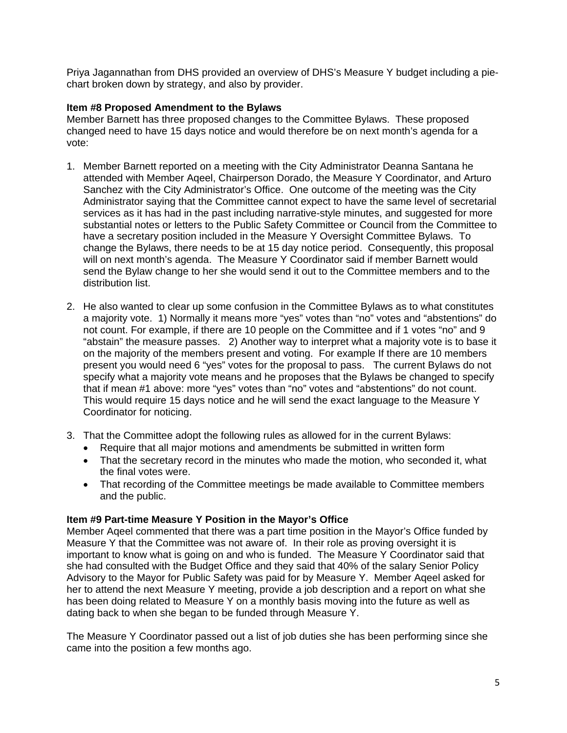Priya Jagannathan from DHS provided an overview of DHS's Measure Y budget including a piechart broken down by strategy, and also by provider.

## **Item #8 Proposed Amendment to the Bylaws**

Member Barnett has three proposed changes to the Committee Bylaws. These proposed changed need to have 15 days notice and would therefore be on next month's agenda for a vote:

- 1. Member Barnett reported on a meeting with the City Administrator Deanna Santana he attended with Member Aqeel, Chairperson Dorado, the Measure Y Coordinator, and Arturo Sanchez with the City Administrator's Office. One outcome of the meeting was the City Administrator saying that the Committee cannot expect to have the same level of secretarial services as it has had in the past including narrative-style minutes, and suggested for more substantial notes or letters to the Public Safety Committee or Council from the Committee to have a secretary position included in the Measure Y Oversight Committee Bylaws. To change the Bylaws, there needs to be at 15 day notice period. Consequently, this proposal will on next month's agenda. The Measure Y Coordinator said if member Barnett would send the Bylaw change to her she would send it out to the Committee members and to the distribution list.
- 2. He also wanted to clear up some confusion in the Committee Bylaws as to what constitutes a majority vote. 1) Normally it means more "yes" votes than "no" votes and "abstentions" do not count. For example, if there are 10 people on the Committee and if 1 votes "no" and 9 "abstain" the measure passes. 2) Another way to interpret what a majority vote is to base it on the majority of the members present and voting. For example If there are 10 members present you would need 6 "yes" votes for the proposal to pass. The current Bylaws do not specify what a majority vote means and he proposes that the Bylaws be changed to specify that if mean #1 above: more "yes" votes than "no" votes and "abstentions" do not count. This would require 15 days notice and he will send the exact language to the Measure Y Coordinator for noticing.
- 3. That the Committee adopt the following rules as allowed for in the current Bylaws:
	- Require that all major motions and amendments be submitted in written form
	- That the secretary record in the minutes who made the motion, who seconded it, what the final votes were.
	- That recording of the Committee meetings be made available to Committee members and the public.

## **Item #9 Part-time Measure Y Position in the Mayor's Office**

Member Aqeel commented that there was a part time position in the Mayor's Office funded by Measure Y that the Committee was not aware of. In their role as proving oversight it is important to know what is going on and who is funded. The Measure Y Coordinator said that she had consulted with the Budget Office and they said that 40% of the salary Senior Policy Advisory to the Mayor for Public Safety was paid for by Measure Y. Member Aqeel asked for her to attend the next Measure Y meeting, provide a job description and a report on what she has been doing related to Measure Y on a monthly basis moving into the future as well as dating back to when she began to be funded through Measure Y.

The Measure Y Coordinator passed out a list of job duties she has been performing since she came into the position a few months ago.